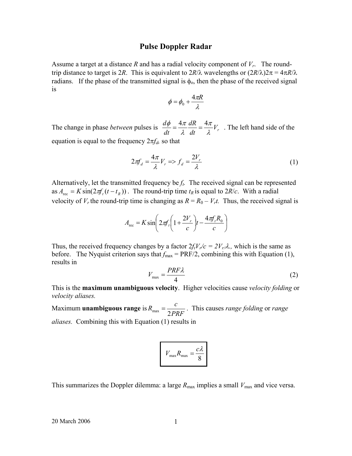## **Pulse Doppler Radar**

Assume a target at a distance *R* and has a radial velocity component of *Vr*. The roundtrip distance to target is 2*R*. This is equivalent to  $2R/\lambda$  wavelengths or  $(2R/\lambda)2\pi = 4\pi R/\lambda$ radians. If the phase of the transmitted signal is  $\phi_0$ , then the phase of the received signal is

$$
\phi = \phi_0 + \frac{4\pi R}{\lambda}
$$

The change in phase *between* pulses is  $\frac{d\phi}{dt} = \frac{4\pi}{\lambda} \frac{dR}{dt} = \frac{4\pi}{\lambda} V_r$ *dt d* λ π  $\frac{d\phi}{dt} = \frac{4\pi}{\lambda} \frac{dR}{dt} = \frac{4\pi}{\lambda} V_r$ . The left hand side of the equation is equal to the frequency  $2\pi f_d$ , so that

$$
2\pi f_d = \frac{4\pi}{\lambda} V_r \Rightarrow f_d = \frac{2V_r}{\lambda} \tag{1}
$$

Alternatively, let the transmitted frequency be  $f_t$ . The received signal can be represented as  $A_{\text{rec}} = K \sin(2\pi f(t - t_R))$ . The round-trip time  $t_R$  is equal to  $2R/c$ . With a radial velocity of  $V_r$  the round-trip time is changing as  $R = R_0 - V_r t$ . Thus, the received signal is

$$
A_{\rm rec} = K \sin \left( 2\pi f_t \left( 1 + \frac{2V_r}{c} \right) t - \frac{4\pi f_t R_0}{c} \right)
$$

Thus, the received frequency changes by a factor  $2f_tV_r/c = 2V_r\lambda$ , which is the same as before. The Nyquist criterion says that  $f_{\text{max}} = \text{PRF}/2$ , combining this with Equation (1), results in

$$
V_{\text{max}} = \frac{PRF\lambda}{4} \tag{2}
$$

This is the **maximum unambiguous velocity**. Higher velocities cause *velocity folding* or *velocity aliases.*

Maximum **unambiguous range** is *PRF*  $R_{\text{max}} = \frac{c}{2PRF}$ . This causes *range folding* or *range aliases.* Combining this with Equation (1) results in

$$
V_{\text{max}}R_{\text{max}} = \frac{c\lambda}{8}
$$

This summarizes the Doppler dilemma: a large  $R_{\text{max}}$  implies a small  $V_{\text{max}}$  and vice versa.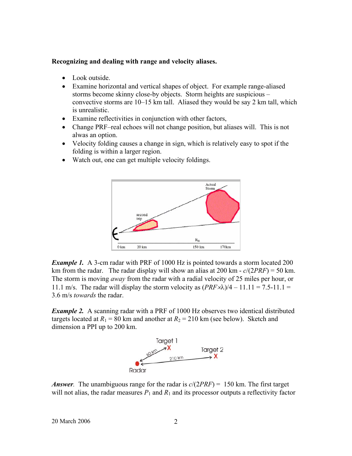## **Recognizing and dealing with range and velocity aliases.**

- Look outside.
- Examine horizontal and vertical shapes of object. For example range-aliased storms become skinny close-by objects. Storm heights are suspicious – convective storms are 10–15 km tall. Aliased they would be say 2 km tall, which is unrealistic.
- Examine reflectivities in conjunction with other factors,
- Change PRF–real echoes will not change position, but aliases will. This is not alwas an option.
- Velocity folding causes a change in sign, which is relatively easy to spot if the folding is within a larger region.
- Watch out, one can get multiple velocity foldings.



**Example 1.** A 3-cm radar with PRF of 1000 Hz is pointed towards a storm located 200 km from the radar. The radar display will show an alias at  $200 \text{ km}$  -  $c/(2PRF) = 50 \text{ km}$ . The storm is moving *away* from the radar with a radial velocity of 25 miles per hour, or 11.1 m/s. The radar will display the storm velocity as  $(PRF \lambda)/4 - 11.11 = 7.5-11.1 =$ 3.6 m/s *towards* the radar.

*Example 2.* A scanning radar with a PRF of 1000 Hz observes two identical distributed targets located at  $R_1 = 80$  km and another at  $R_2 = 210$  km (see below). Sketch and dimension a PPI up to 200 km.



*Answer.* The unambiguous range for the radar is *c*/(2*PRF*) = 150 km. The first target will not alias, the radar measures  $P_1$  and  $R_1$  and its processor outputs a reflectivity factor